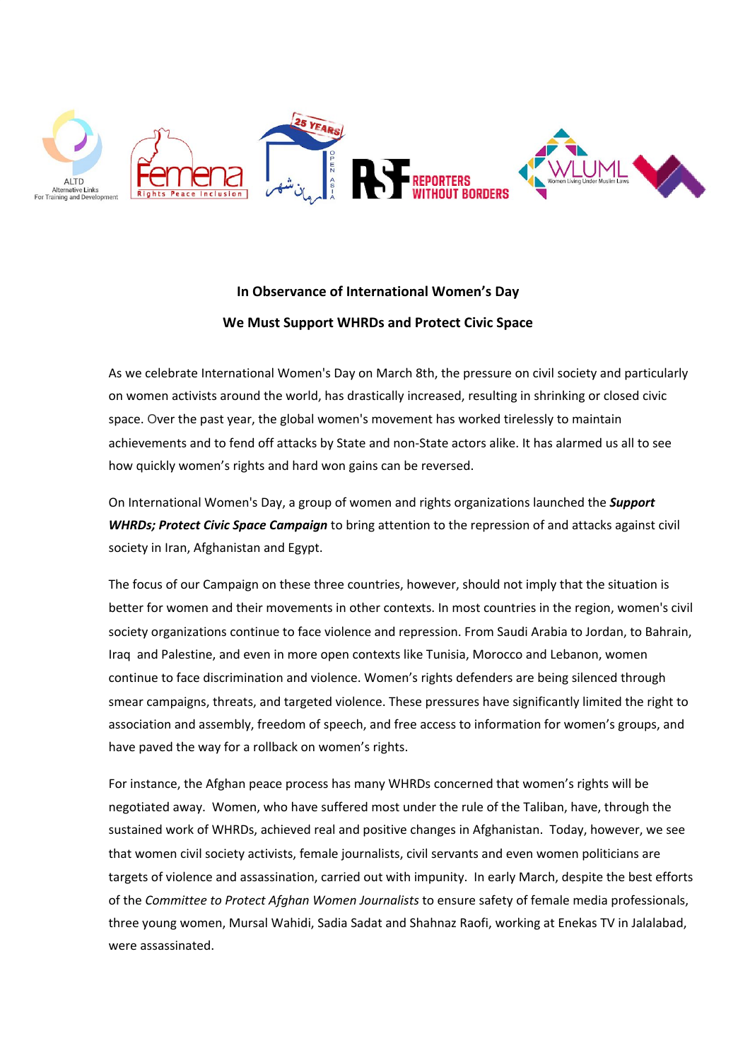

## **In Observance of International Women's Day We Must Support WHRDs and Protect Civic Space**

As we celebrate International Women's Day on March 8th, the pressure on civil society and particularly on women activists around the world, has drastically increased, resulting in shrinking or closed civic space. Over the past year, the global women's movement has worked tirelessly to maintain achievements and to fend off attacks by State and non-State actors alike. It has alarmed us all to see how quickly women's rights and hard won gains can be reversed.

On International Women's Day, a group of women and rights organizations launched the *Support WHRDs; Protect Civic Space Campaign* to bring attention to the repression of and attacks against civil society in Iran, Afghanistan and Egypt.

The focus of our Campaign on these three countries, however, should not imply that the situation is better for women and their movements in other contexts. In most countries in the region, women's civil society organizations continue to face violence and repression. From Saudi Arabia to Jordan, to Bahrain, Iraq and Palestine, and even in more open contexts like Tunisia, Morocco and Lebanon, women continue to face discrimination and violence. Women's rights defenders are being silenced through smear campaigns, threats, and targeted violence. These pressures have significantly limited the right to association and assembly, freedom of speech, and free access to information for women's groups, and have paved the way for a rollback on women's rights.

For instance, the Afghan peace process has many WHRDs concerned that women's rights will be negotiated away. Women, who have suffered most under the rule of the Taliban, have, through the sustained work of WHRDs, achieved real and positive changes in Afghanistan. Today, however, we see that women civil society activists, female journalists, civil servants and even women politicians are targets of violence and assassination, carried out with impunity. In early March, despite the best efforts of the *Committee to Protect Afghan Women Journalists* to ensure safety of female media professionals, three young women, Mursal Wahidi, Sadia Sadat and Shahnaz Raofi, working at Enekas TV in Jalalabad, were assassinated.